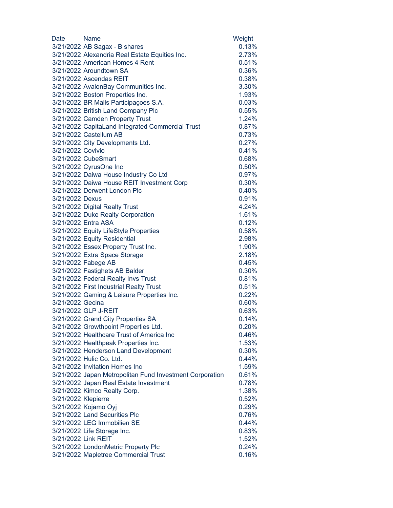| Date                | Name                                                     | Weight   |
|---------------------|----------------------------------------------------------|----------|
|                     | 3/21/2022 AB Sagax - B shares                            | 0.13%    |
|                     | 3/21/2022 Alexandria Real Estate Equities Inc.           | 2.73%    |
|                     | 3/21/2022 American Homes 4 Rent                          | 0.51%    |
|                     | 3/21/2022 Aroundtown SA                                  | 0.36%    |
|                     | 3/21/2022 Ascendas REIT                                  | 0.38%    |
|                     | 3/21/2022 AvalonBay Communities Inc.                     | 3.30%    |
|                     | 3/21/2022 Boston Properties Inc.                         | 1.93%    |
|                     | 3/21/2022 BR Malls Participações S.A.                    | 0.03%    |
|                     | 3/21/2022 British Land Company Plc                       | 0.55%    |
|                     | 3/21/2022 Camden Property Trust                          | 1.24%    |
|                     | 3/21/2022 CapitaLand Integrated Commercial Trust         | 0.87%    |
|                     | 3/21/2022 Castellum AB                                   | 0.73%    |
|                     | 3/21/2022 City Developments Ltd.                         | 0.27%    |
| 3/21/2022 Covivio   |                                                          | 0.41%    |
|                     | 3/21/2022 CubeSmart                                      | 0.68%    |
|                     | 3/21/2022 CyrusOne Inc                                   | 0.50%    |
|                     | 3/21/2022 Daiwa House Industry Co Ltd                    | 0.97%    |
|                     | 3/21/2022 Daiwa House REIT Investment Corp               | 0.30%    |
|                     | 3/21/2022 Derwent London Plc                             | 0.40%    |
| 3/21/2022 Dexus     |                                                          | 0.91%    |
|                     | 3/21/2022 Digital Realty Trust                           | 4.24%    |
|                     | 3/21/2022 Duke Realty Corporation                        | 1.61%    |
|                     | 3/21/2022 Entra ASA                                      | 0.12%    |
|                     | 3/21/2022 Equity LifeStyle Properties                    | 0.58%    |
|                     | 3/21/2022 Equity Residential                             | 2.98%    |
|                     | 3/21/2022 Essex Property Trust Inc.                      | 1.90%    |
|                     | 3/21/2022 Extra Space Storage                            | 2.18%    |
|                     | 3/21/2022 Fabege AB                                      | 0.45%    |
|                     | 3/21/2022 Fastighets AB Balder                           | 0.30%    |
|                     | 3/21/2022 Federal Realty Invs Trust                      | 0.81%    |
|                     | 3/21/2022 First Industrial Realty Trust                  | 0.51%    |
|                     | 3/21/2022 Gaming & Leisure Properties Inc.               | 0.22%    |
| 3/21/2022 Gecina    |                                                          | $0.60\%$ |
|                     | 3/21/2022 GLP J-REIT                                     | 0.63%    |
|                     | 3/21/2022 Grand City Properties SA                       | 0.14%    |
|                     | 3/21/2022 Growthpoint Properties Ltd.                    | 0.20%    |
|                     | 3/21/2022 Healthcare Trust of America Inc                | 0.46%    |
|                     | 3/21/2022 Healthpeak Properties Inc.                     | 1.53%    |
|                     | 3/21/2022 Henderson Land Development                     | 0.30%    |
|                     | 3/21/2022 Hulic Co. Ltd.                                 | 0.44%    |
|                     | 3/21/2022 Invitation Homes Inc                           | 1.59%    |
|                     | 3/21/2022 Japan Metropolitan Fund Investment Corporation | 0.61%    |
|                     | 3/21/2022 Japan Real Estate Investment                   | 0.78%    |
|                     | 3/21/2022 Kimco Realty Corp.                             | 1.38%    |
| 3/21/2022 Klepierre |                                                          | 0.52%    |
|                     | 3/21/2022 Kojamo Oyj                                     | 0.29%    |
|                     | 3/21/2022 Land Securities Plc                            | 0.76%    |
|                     | 3/21/2022 LEG Immobilien SE                              | 0.44%    |
|                     | 3/21/2022 Life Storage Inc.                              | 0.83%    |
| 3/21/2022 Link REIT |                                                          | 1.52%    |
|                     | 3/21/2022 LondonMetric Property Plc                      | 0.24%    |
|                     | 3/21/2022 Mapletree Commercial Trust                     | 0.16%    |